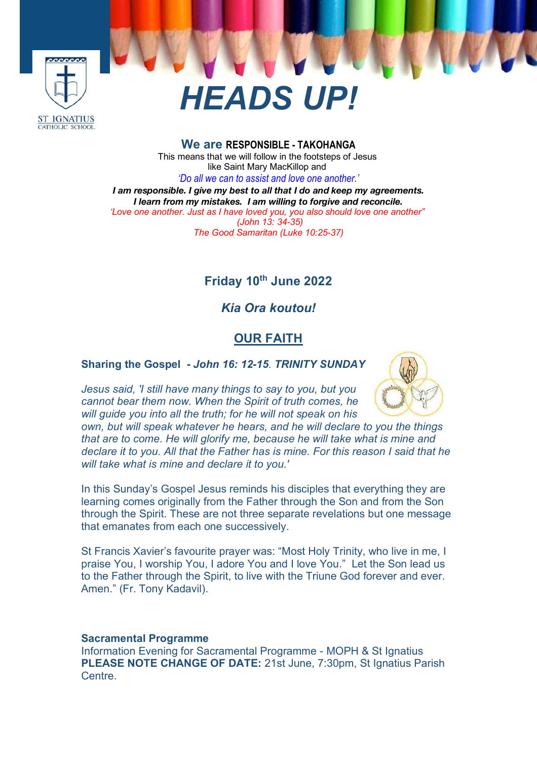

# *HEADS UP!*

**We are RESPONSIBLE - TAKOHANGA** This means that we will follow in the footsteps of Jesus like Saint Mary MacKillop and *'Do all we can to assist and love one another.'*

*I am responsible. I give my best to all that I do and keep my agreements. I learn from my mistakes. I am willing to forgive and reconcile. 'Love one another. Just as I have loved you, you also should love one another" (John 13: 34-35) The Good Samaritan (Luke 10:25-37)*

# **Friday 10th June 2022**

# *Kia Ora koutou!*

# **OUR FAITH**

## **Sharing the Gospel -** *John 16: 12-15. TRINITY SUNDAY*

*Jesus said, 'I still have many things to say to you, but you cannot bear them now. When the Spirit of truth comes, he will guide you into all the truth; for he will not speak on his* 



*own, but will speak whatever he hears, and he will declare to you the things that are to come. He will glorify me, because he will take what is mine and declare it to you. All that the Father has is mine. For this reason I said that he will take what is mine and declare it to you.'*

In this Sunday's Gospel Jesus reminds his disciples that everything they are learning comes originally from the Father through the Son and from the Son through the Spirit. These are not three separate revelations but one message that emanates from each one successively.

St Francis Xavier's favourite prayer was: "Most Holy Trinity, who live in me, I praise You, I worship You, I adore You and I love You." Let the Son lead us to the Father through the Spirit, to live with the Triune God forever and ever. Amen." (Fr. Tony Kadavil).

#### **Sacramental Programme**

Information Evening for Sacramental Programme - MOPH & St Ignatius **PLEASE NOTE CHANGE OF DATE:** 21st June, 7:30pm, St Ignatius Parish Centre.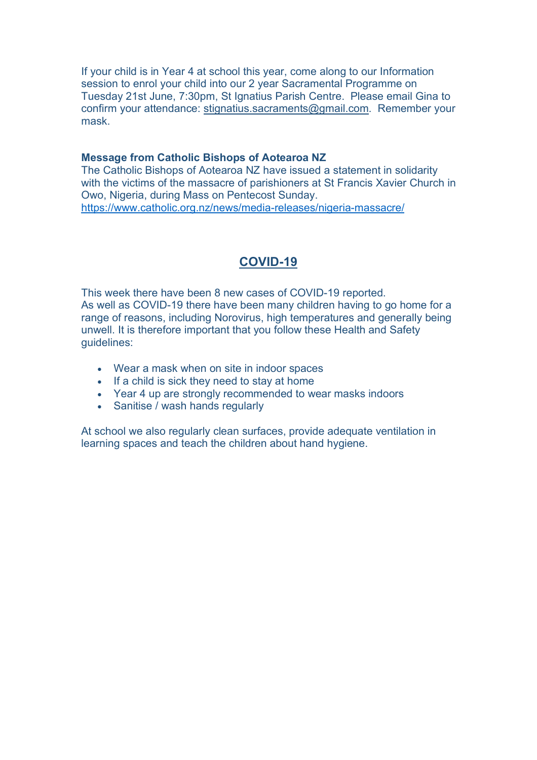If your child is in Year 4 at school this year, come along to our Information session to enrol your child into our 2 year Sacramental Programme on Tuesday 21st June, 7:30pm, St Ignatius Parish Centre. Please email Gina to confirm your attendance: stignatius.sacraments@gmail.com. Remember your mask.

#### **Message from Catholic Bishops of Aotearoa NZ**

The Catholic Bishops of Aotearoa NZ have issued a statement in solidarity with the victims of the massacre of parishioners at St Francis Xavier Church in Owo, Nigeria, during Mass on Pentecost Sunday. https://www.catholic.org.nz/news/media-releases/nigeria-massacre/

# **COVID-19**

This week there have been 8 new cases of COVID-19 reported. As well as COVID-19 there have been many children having to go home for a range of reasons, including Norovirus, high temperatures and generally being unwell. It is therefore important that you follow these Health and Safety guidelines:

- Wear a mask when on site in indoor spaces
- If a child is sick they need to stay at home
- Year 4 up are strongly recommended to wear masks indoors
- Sanitise / wash hands regularly

At school we also regularly clean surfaces, provide adequate ventilation in learning spaces and teach the children about hand hygiene.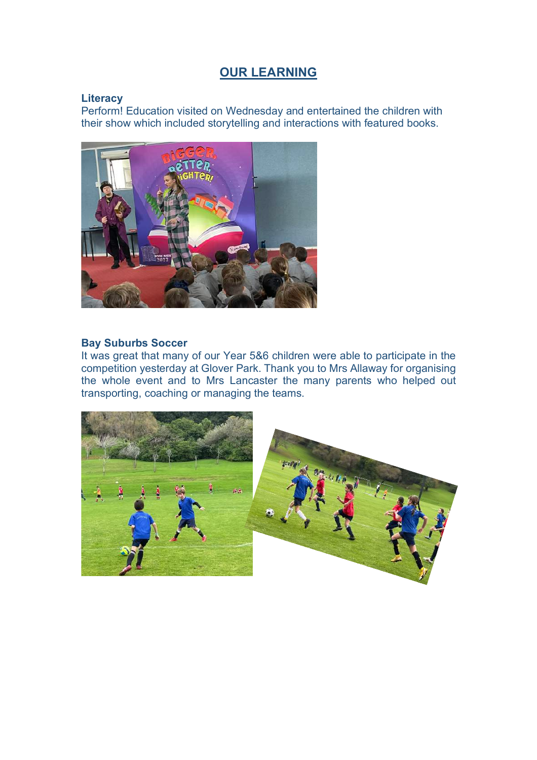## **OUR LEARNING**

#### **Literacy**

Perform! Education visited on Wednesday and entertained the children with their show which included storytelling and interactions with featured books.



#### **Bay Suburbs Soccer**

It was great that many of our Year 5&6 children were able to participate in the competition yesterday at Glover Park. Thank you to Mrs Allaway for organising the whole event and to Mrs Lancaster the many parents who helped out transporting, coaching or managing the teams.

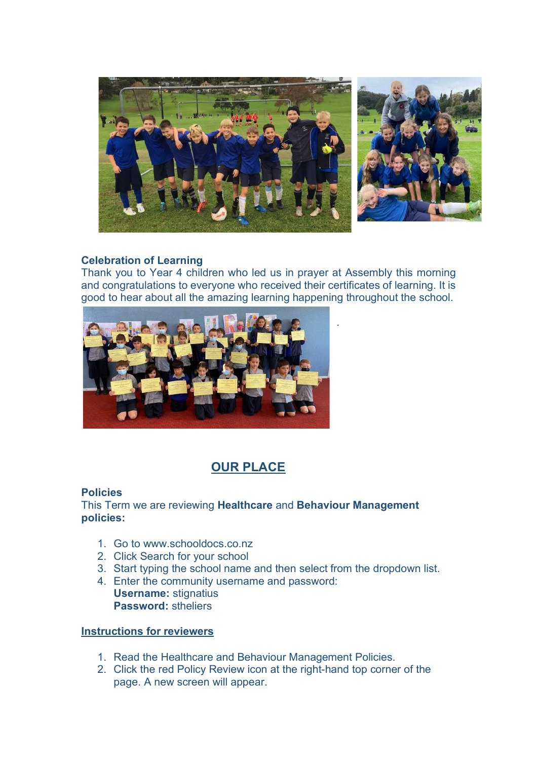

## **Celebration of Learning**

Thank you to Year 4 children who led us in prayer at Assembly this morning and congratulations to everyone who received their certificates of learning. It is good to hear about all the amazing learning happening throughout the school.



# **OUR PLACE**

## **Policies**

This Term we are reviewing **Healthcare** and **Behaviour Management policies:**

- 1. Go to www.schooldocs.co.nz
- 2. Click Search for your school
- 3. Start typing the school name and then select from the dropdown list.
- 4. Enter the community username and password:
	- **Username:** stignatius **Password:** stheliers

## **Instructions for reviewers**

- 1. Read the Healthcare and Behaviour Management Policies.
- 2. Click the red Policy Review icon at the right-hand top corner of the page. A new screen will appear.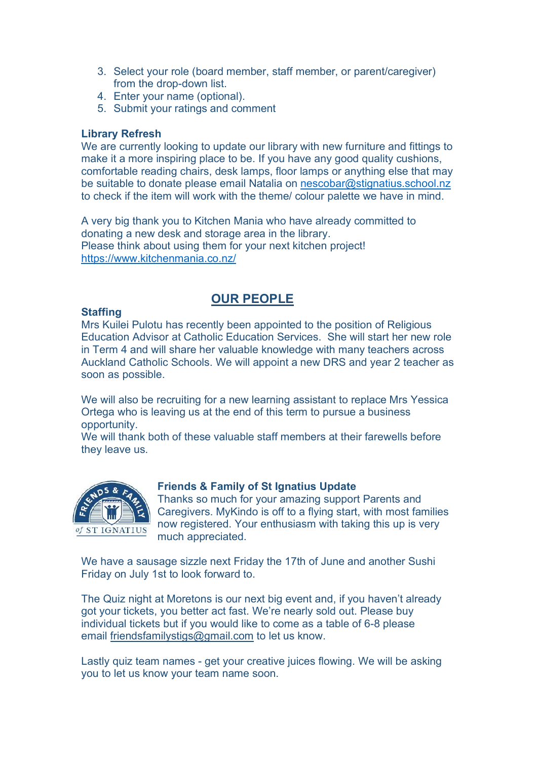- 3. Select your role (board member, staff member, or parent/caregiver) from the drop-down list.
- 4. Enter your name (optional).
- 5. Submit your ratings and comment

## **Library Refresh**

We are currently looking to update our library with new furniture and fittings to make it a more inspiring place to be. If you have any good quality cushions, comfortable reading chairs, desk lamps, floor lamps or anything else that may be suitable to donate please email Natalia on nescobar@stignatius.school.nz to check if the item will work with the theme/ colour palette we have in mind.

A very big thank you to Kitchen Mania who have already committed to donating a new desk and storage area in the library. Please think about using them for your next kitchen project! https://www.kitchenmania.co.nz/

# **OUR PEOPLE**

## **Staffing**

Mrs Kuilei Pulotu has recently been appointed to the position of Religious Education Advisor at Catholic Education Services. She will start her new role in Term 4 and will share her valuable knowledge with many teachers across Auckland Catholic Schools. We will appoint a new DRS and year 2 teacher as soon as possible.

We will also be recruiting for a new learning assistant to replace Mrs Yessica Ortega who is leaving us at the end of this term to pursue a business opportunity.

We will thank both of these valuable staff members at their farewells before they leave us.



## **Friends & Family of St Ignatius Update**

Thanks so much for your amazing support Parents and Caregivers. MyKindo is off to a flying start, with most families now registered. Your enthusiasm with taking this up is very much appreciated.

We have a sausage sizzle next Friday the 17th of June and another Sushi Friday on July 1st to look forward to.

The Quiz night at Moretons is our next big event and, if you haven't already got your tickets, you better act fast. We're nearly sold out. Please buy individual tickets but if you would like to come as a table of 6-8 please email friendsfamilystigs@gmail.com to let us know.

Lastly quiz team names - get your creative juices flowing. We will be asking you to let us know your team name soon.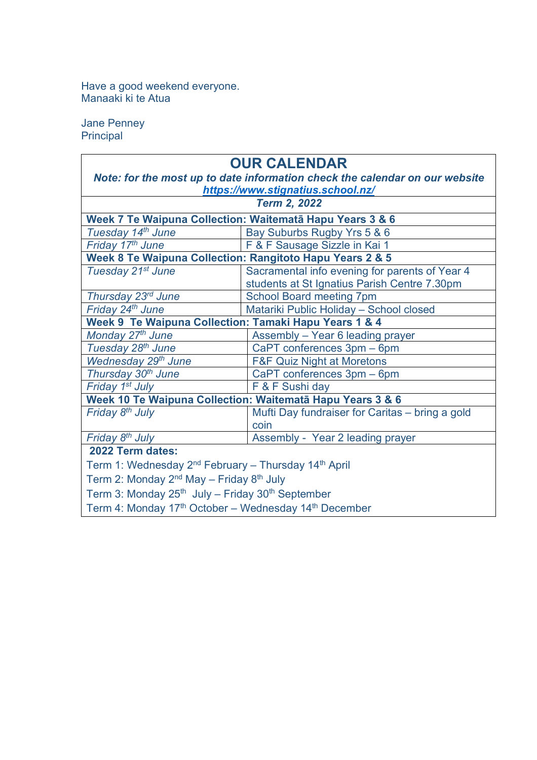Have a good weekend everyone. Manaaki ki te Atua

Jane Penney Principal

| <b>OUR CALENDAR</b>                                                           |                                                 |
|-------------------------------------------------------------------------------|-------------------------------------------------|
| Note: for the most up to date information check the calendar on our website   |                                                 |
| https://www.stignatius.school.nz/                                             |                                                 |
| <b>Term 2, 2022</b>                                                           |                                                 |
| Week 7 Te Waipuna Collection: Waitematā Hapu Years 3 & 6                      |                                                 |
| Tuesday 14th June                                                             | Bay Suburbs Rugby Yrs 5 & 6                     |
| Friday 17th June                                                              | F & F Sausage Sizzle in Kai 1                   |
| Week 8 Te Waipuna Collection: Rangitoto Hapu Years 2 & 5                      |                                                 |
| Tuesday 21 <sup>st</sup> June                                                 | Sacramental info evening for parents of Year 4  |
|                                                                               | students at St Ignatius Parish Centre 7.30pm    |
| Thursday 23rd June                                                            | <b>School Board meeting 7pm</b>                 |
| Friday 24th June                                                              | Matariki Public Holiday - School closed         |
| Week 9 Te Waipuna Collection: Tamaki Hapu Years 1 & 4                         |                                                 |
| Monday 27th June                                                              | Assembly - Year 6 leading prayer                |
| Tuesday 28th June                                                             | CaPT conferences 3pm - 6pm                      |
| Wednesday 29 <sup>th</sup> June                                               | <b>F&amp;F Quiz Night at Moretons</b>           |
| Thursday 30 <sup>th</sup> June                                                | CaPT conferences 3pm - 6pm                      |
| Friday 1 <sup>st</sup> July                                                   | F & F Sushi day                                 |
| Week 10 Te Waipuna Collection: Waitematā Hapu Years 3 & 6                     |                                                 |
| Friday 8 <sup>th</sup> July                                                   | Mufti Day fundraiser for Caritas - bring a gold |
|                                                                               | coin                                            |
| Friday 8 <sup>th</sup> July                                                   | Assembly - Year 2 leading prayer                |
| 2022 Term dates:                                                              |                                                 |
| Term 1: Wednesday 2 <sup>nd</sup> February - Thursday 14 <sup>th</sup> April  |                                                 |
| Term 2: Monday 2 <sup>nd</sup> May - Friday 8 <sup>th</sup> July              |                                                 |
| Term 3: Monday 25 <sup>th</sup> July - Friday 30 <sup>th</sup> September      |                                                 |
| Term 4: Monday 17 <sup>th</sup> October - Wednesday 14 <sup>th</sup> December |                                                 |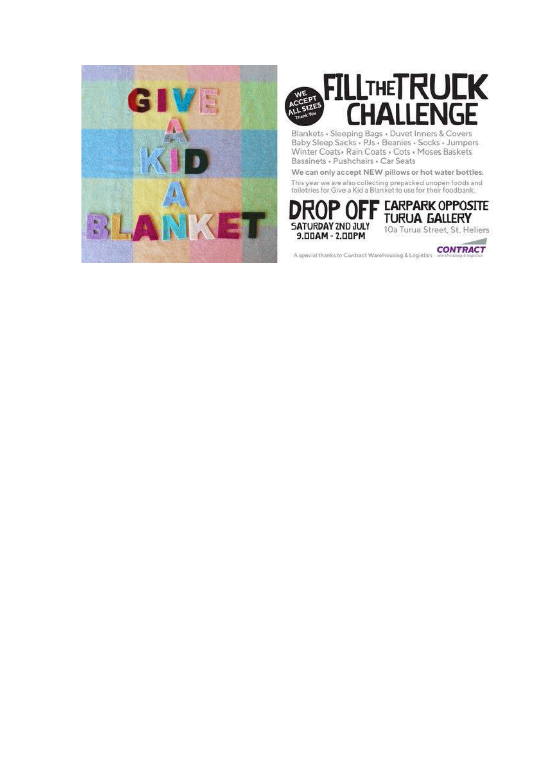



Blankets + Sleeping Bags + Duvet Inners & Covers<br>Baby Sleep Sacks + PJs + Beanies + Socks + Jumpers Winter Coats - Rain Coats - Cots - Moses Baskets Bassinets · Pushchairs · Car Seats

We can only accept NEW pillows or hot water bottles. This year we are also collecting prepacked unopen foods and<br>tolletries for Give a Kid a Blanket to use for their foodbank.

**E LARPARK OPPOSITE** Γ D Turua Gallery **SATURDAY 2ND JULY** 10a Turua Street, St. Heliers 9.00AM - 2.00PM a8

A special thanks to Contract Warehousing & Logistics CONTRACT